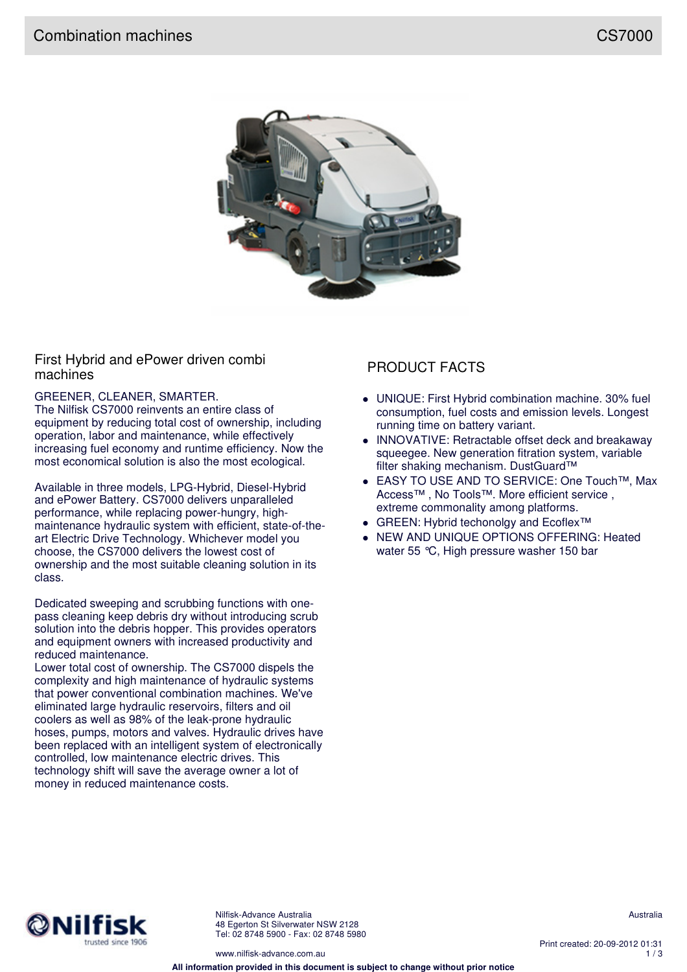

## First Hybrid and ePower driven combi machines machines

### GREENER, CLEANER, SMARTER.

The Nilfisk CS7000 reinvents an entire class of equipment by reducing total cost of ownership, including operation, labor and maintenance, while effectively increasing fuel economy and runtime efficiency. Now the most economical solution is also the most ecological.

Available in three models, LPG-Hybrid, Diesel-Hybrid and ePower Battery. CS7000 delivers unparalleled performance, while replacing power-hungry, highmaintenance hydraulic system with efficient, state-of-theart Electric Drive Technology. Whichever model you choose, the CS7000 delivers the lowest cost of ownership and the most suitable cleaning solution in its class.

Dedicated sweeping and scrubbing functions with onepass cleaning keep debris dry without introducing scrub solution into the debris hopper. This provides operators and equipment owners with increased productivity and reduced maintenance.

Lower total cost of ownership. The CS7000 dispels the complexity and high maintenance of hydraulic systems that power conventional combination machines. We've eliminated large hydraulic reservoirs, filters and oil coolers as well as 98% of the leak-prone hydraulic hoses, pumps, motors and valves. Hydraulic drives have been replaced with an intelligent system of electronically controlled, low maintenance electric drives. This technology shift will save the average owner a lot of money in reduced maintenance costs.

- UNIQUE: First Hybrid combination machine. 30% fuel consumption, fuel costs and emission levels. Longest running time on battery variant.
- INNOVATIVE: Retractable offset deck and breakaway squeegee. New generation fitration system, variable filter shaking mechanism. DustGuard™
- EASY TO USE AND TO SERVICE: One Touch™, Max Access™ , No Tools™. More efficient service , extreme commonality among platforms.
- GREEN: Hybrid techonolgy and Ecoflex<sup>™</sup>
- NEW AND UNIQUE OPTIONS OFFERING: Heated water 55 °C. High pressure washer 150 bar



Nilfisk-Advance Australia 48 Egerton St Silverwater NSW 2128 Tel: 02 8748 5900 - Fax: 02 8748 5980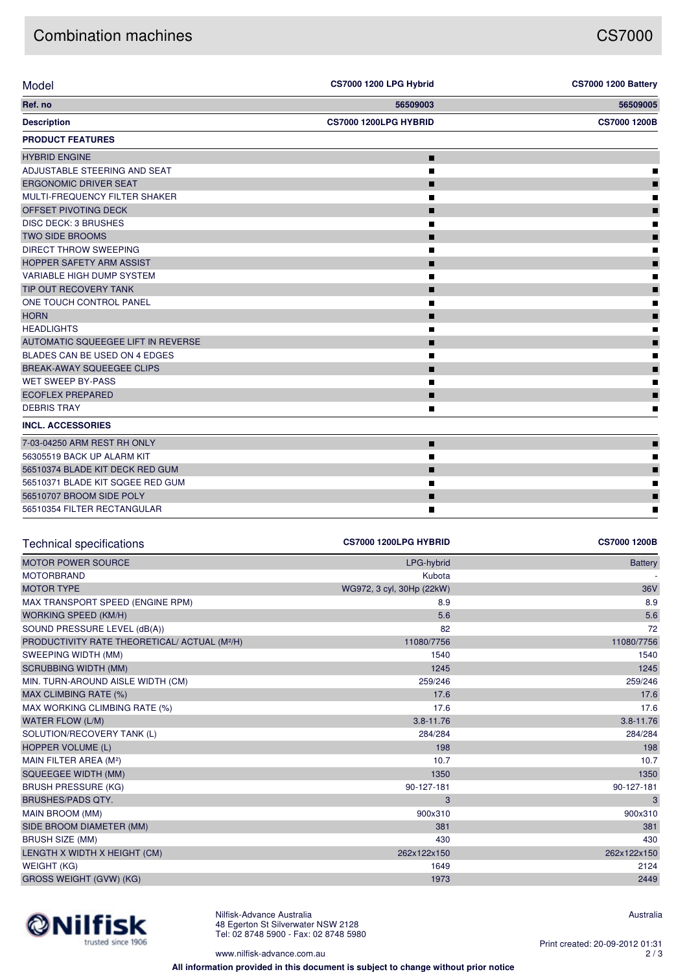# Combination machines **CS7000**

| Model                                                     | <b>CS7000 1200 LPG Hybrid</b> | <b>CS7000 1200 Battery</b> |
|-----------------------------------------------------------|-------------------------------|----------------------------|
| Ref. no                                                   | 56509003                      | 56509005                   |
| <b>Description</b>                                        | CS7000 1200LPG HYBRID         | CS7000 1200B               |
| <b>PRODUCT FEATURES</b>                                   |                               |                            |
| <b>HYBRID ENGINE</b>                                      | П                             |                            |
| ADJUSTABLE STEERING AND SEAT                              | П                             |                            |
| <b>ERGONOMIC DRIVER SEAT</b>                              | П                             |                            |
| MULTI-FREQUENCY FILTER SHAKER                             | П                             |                            |
| OFFSET PIVOTING DECK                                      | П                             |                            |
| DISC DECK: 3 BRUSHES                                      | П                             |                            |
| <b>TWO SIDE BROOMS</b>                                    | П                             |                            |
| <b>DIRECT THROW SWEEPING</b>                              | П                             |                            |
| HOPPER SAFETY ARM ASSIST                                  | П                             |                            |
| VARIABLE HIGH DUMP SYSTEM                                 | П                             |                            |
| TIP OUT RECOVERY TANK                                     | П                             |                            |
| ONE TOUCH CONTROL PANEL                                   | П                             |                            |
| <b>HORN</b>                                               |                               |                            |
|                                                           | ┓                             |                            |
| <b>HEADLIGHTS</b>                                         | П                             |                            |
| AUTOMATIC SQUEEGEE LIFT IN REVERSE                        | П                             |                            |
| BLADES CAN BE USED ON 4 EDGES                             | П                             |                            |
| BREAK-AWAY SQUEEGEE CLIPS                                 | П                             |                            |
| <b>WET SWEEP BY-PASS</b>                                  | П                             |                            |
| <b>ECOFLEX PREPARED</b>                                   | П                             |                            |
| <b>DEBRIS TRAY</b>                                        | П                             |                            |
| <b>INCL. ACCESSORIES</b>                                  |                               |                            |
| 7-03-04250 ARM REST RH ONLY                               | ш                             |                            |
| 56305519 BACK UP ALARM KIT                                | П                             |                            |
| 56510374 BLADE KIT DECK RED GUM                           | П                             |                            |
| 56510371 BLADE KIT SQGEE RED GUM                          | П                             |                            |
| 56510707 BROOM SIDE POLY                                  | П                             |                            |
| 56510354 FILTER RECTANGULAR                               | П                             |                            |
|                                                           |                               |                            |
| <b>Technical specifications</b>                           | CS7000 1200LPG HYBRID         | CS7000 1200B               |
|                                                           |                               |                            |
| <b>MOTOR POWER SOURCE</b>                                 | LPG-hybrid                    | <b>Battery</b>             |
| <b>MOTORBRAND</b>                                         | Kubota                        |                            |
| <b>MOTOR TYPE</b>                                         | WG972, 3 cyl, 30Hp (22kW)     | 36V                        |
| MAX TRANSPORT SPEED (ENGINE RPM)                          | 8.9                           | 8.9                        |
| <b>WORKING SPEED (KM/H)</b>                               | 5.6                           | 5.6                        |
| SOUND PRESSURE LEVEL (dB(A))                              | 82                            | 72                         |
| PRODUCTIVITY RATE THEORETICAL/ ACTUAL (M <sup>2</sup> /H) | 11080/7756                    | 11080/7756                 |
| SWEEPING WIDTH (MM)                                       | 1540                          | 1540                       |
| <b>SCRUBBING WIDTH (MM)</b>                               | 1245                          | 1245                       |
| MIN. TURN-AROUND AISLE WIDTH (CM)                         | 259/246                       | 259/246                    |
| MAX CLIMBING RATE (%)                                     | 17.6                          | 17.6                       |
| MAX WORKING CLIMBING RATE (%)                             | 17.6                          | 17.6                       |
| WATER FLOW (L/M)                                          | $3.8 - 11.76$                 | $3.8 - 11.76$              |
| SOLUTION/RECOVERY TANK (L)                                | 284/284                       | 284/284                    |
| HOPPER VOLUME (L)                                         | 198                           | 198                        |
| MAIN FILTER AREA (M <sup>2</sup> )                        | 10.7                          | 10.7                       |
| <b>SQUEEGEE WIDTH (MM)</b>                                | 1350                          | 1350                       |
| <b>BRUSH PRESSURE (KG)</b>                                | 90-127-181                    | 90-127-181                 |
| <b>BRUSHES/PADS QTY.</b>                                  | 3                             | 3                          |
| MAIN BROOM (MM)                                           | 900x310                       | 900x310                    |
| SIDE BROOM DIAMETER (MM)                                  | 381                           | 381                        |
| <b>BRUSH SIZE (MM)</b>                                    | 430                           | 430                        |
| LENGTH X WIDTH X HEIGHT (CM)                              | 262x122x150                   | 262x122x150                |
| <b>WEIGHT (KG)</b>                                        | 1649                          | 2124                       |
| GROSS WEIGHT (GVW) (KG)                                   | 1973                          | 2449                       |
|                                                           |                               |                            |



Nilfisk-Advance Australia 48 Egerton St Silverwater NSW 2128 Tel: 02 8748 5900 - Fax: 02 8748 5980

www.nilfisk-advance.com.au

Australia

Print created: 20-09-2012 01:31 2 / 3

**All information provided in this document is subject to change without prior notice**